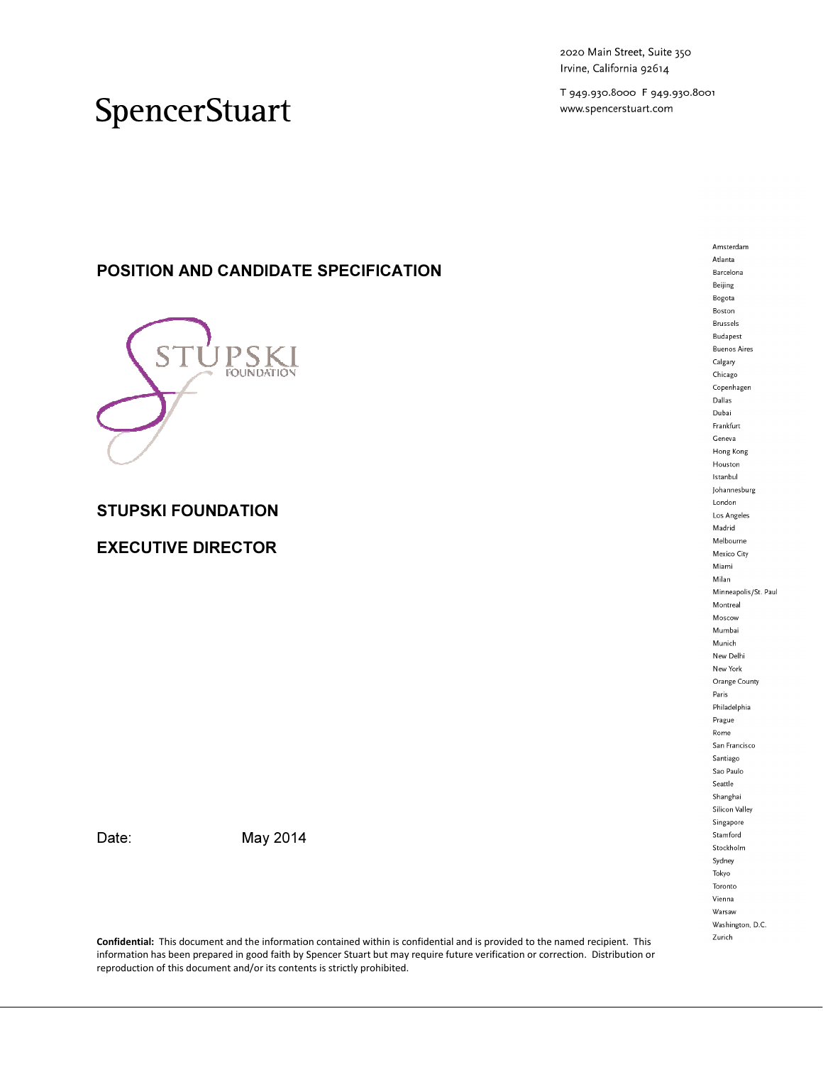2020 Main Street, Suite 350 Irvine, California 92614

T 949.930.8000 F 949.930.8001 www.spencerstuart.com

## SpencerStuart

## POSITION AND CANDIDATE SPECIFICATION



### STUPSKI FOUNDATION

### EXECUTIVE DIRECTOR

Date: May 2014

Confidential: This document and the information contained within is confidential and is provided to the named recipient. This information has been prepared in good faith by Spencer Stuart but may require future verification or correction. Distribution or reproduction of this document and/or its contents is strictly prohibited.

Atlanta Barcelona Beijing Bogota Boston Brussels Budapest **Buenos Aires** Calgary Chicago Copenhagen Dallas Dubai Frankfurt Geneva Hong Kong Houston Istanbul Johannesburg London Los Angeles Madrid Melbourne Mexico City Miami Milan Minneapolis/St. Paul Montreal Moscow Mumbai Munich New Delhi New York Orange County Paris Philadelphia Prague Rome San Francisco Santiago Sao Paulo  ${\small\texttt{Seattle}}$ Shanghai Silicon Valley Singapore Stamford Stockholm Sydney Tokyo Toronto Vienna Warsaw Washington, D.C. Zurich

Amsterdam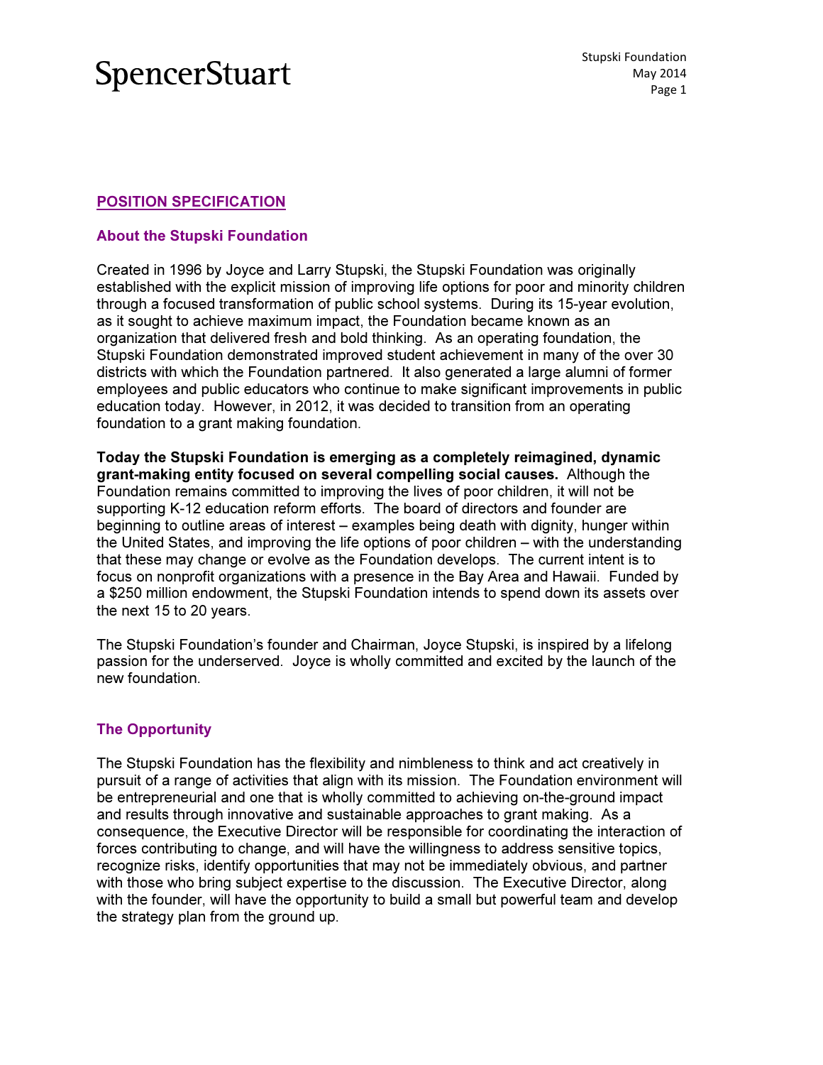### POSITION SPECIFICATION

### About the Stupski Foundation

Created in 1996 by Joyce and Larry Stupski, the Stupski Foundation was originally established with the explicit mission of improving life options for poor and minority children through a focused transformation of public school systems. During its 15-year evolution, as it sought to achieve maximum impact, the Foundation became known as an organization that delivered fresh and bold thinking. As an operating foundation, the Stupski Foundation demonstrated improved student achievement in many of the over 30 districts with which the Foundation partnered. It also generated a large alumni of former employees and public educators who continue to make significant improvements in public education today. However, in 2012, it was decided to transition from an operating foundation to a grant making foundation.

Today the Stupski Foundation is emerging as a completely reimagined, dynamic grant-making entity focused on several compelling social causes. Although the Foundation remains committed to improving the lives of poor children, it will not be supporting K-12 education reform efforts. The board of directors and founder are beginning to outline areas of interest – examples being death with dignity, hunger within the United States, and improving the life options of poor children – with the understanding that these may change or evolve as the Foundation develops. The current intent is to focus on nonprofit organizations with a presence in the Bay Area and Hawaii. F Funded by a \$250 million endowment, the Stupski Foundation intends to spend down its assets over the next 15 to 20 years.

The Stupski Foundation's founder and Chairman, Joyce Stupski, is inspired by a lifelong passion for the underserved. Joyce is wholly committed and excited by the launch of the new foundation.

### The Opportunity

The Stupski Foundation has the flexibility and nimbleness to think and act creatively in pursuit of a range of activities that align with its mission. The Foundation environment will be entrepreneurial and one that is wholly committed to achieving on-the-ground impact and results through innovative and sustainable approaches to grant making. As a consequence, the Executive Director will be responsible for coordinating the interaction of forces contributing to change, and will have the willingness to address sensitive topics, recognize risks, identify opportunities that may not be immediately obvious, and partner with those who bring subject expertise to the discussion. The Executive Director, along with the founder, will have the opportunity to build a small but powerful team and develop the strategy plan from the ground d up.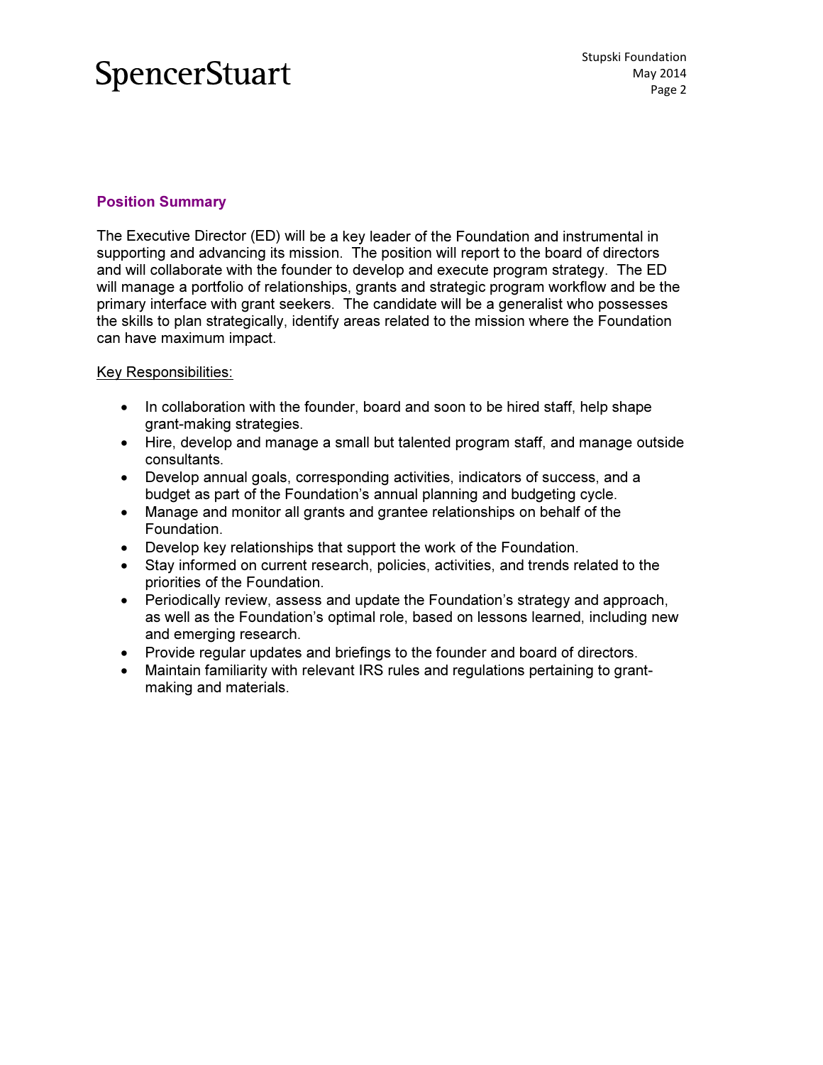### Position Summary

The Executive Director (ED) will be a key leader of the Foundation and instrumental in supporting and advancing its mission. The position will report to the board of directors and will collaborate with the founder to develop and execute program strategy. The ED will manage a portfolio of relationships, grants and strategic program workflow and be the primary interface with grant seekers. The candidate will be a generalist who possesses the skills to plan strategically, identify areas related to the mission where the Foundation can have maximum impact.

### Key Responsibilities:

- In collaboration with the founder, board and soon to be hired staff, help shape grant-making strategies.
- Hire, develop and manage a small but talented program staff, and manage outside consultants.
- Develop annual goals, corresponding activities, indicators of success, and a budget as part of the Foundation's annual planning and budgeting cycle.
- Manage and monitor all grants and grantee relationships on behalf of the Foundation. • Manage and monitor all grants and grantee relationships on behalf of the<br>Foundation.<br>• Develop key relationships that support the work of the Foundation.<br>• Stay informed on current research, policies, activities, and tre
- Develop key relationships that support the work of the Foundation.
- priorities of the Foundation.
- Periodically review, assess and update the Foundation's strategy and approach, as well as the Foundation's optimal role, based on lessons learned, including new and emerging research.
- Provide regular updates and briefings to the founder and board of directors.
- Maintain familiarity with relevant IRS rules and regulations pertaining to grantmaking and materials.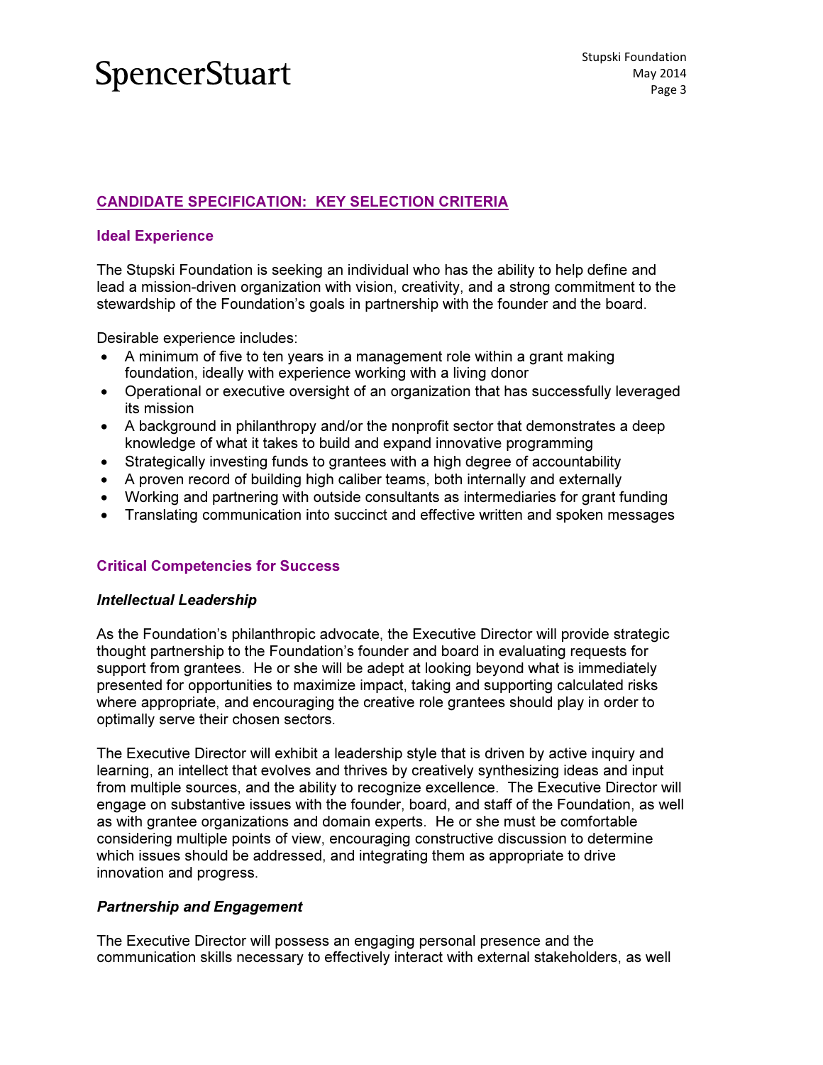### <u>CANDIDATE SPECIFICATION: KEY SELECTION CRITERIA</u>

### Ideal Experience

The Stupski Foundation is seeking an individual who has the ability to help define and lead a mission-driven organization with vision, creativity, and a strong commitment to the stewardship of the Foundation's goals in partnership with the founder and the board.

Desirable experience includes:

- A minimum of five to ten years in a management role within a grant making foundation, ideally with experience working with a living donor
- Operational or executive oversight of an organization that has successfully leveraged its mission
- A background in philanthropy and/or the nonprofit sector that demonstrates a deep knowledge of what it takes to build and expand innovative programming
- Strategically investing funds to grantees with a high degree of accountability
- A proven record of building high caliber teams, both internally and externally
- Working and partnering with outside consultants as intermediaries for grant funding
- Translating communication into succinct and effective written and spoken messages

### Critical Competencies for Suc cess

#### Intellectual Leadership

As the Foundation's philanthropic advocate, the Executive Director will provide strategic thought partnership to the Foundation's founder and board in evaluating requests for support from grantees. He or she will be adept at looking beyond what is immediately presented for opportunities to maximize impact, taking and supporting calculated risks where appropriate, and encouraging the creative role grantees should play in order to optimally serve their chosen sectors.

The Executive Director will exhibit a leadership style that is driven by active inquiry and learning, an intellect that evolves and thrives by creatively synthesizing ideas and input from multiple sources, and the ability to recognize excellence. The Executive Director will engage on substantive issues with the founder, board, and staff of the Foundation, as well as with grantee organizations and domain experts. He or she must be comfortable considering multiple points of view, encouraging constructive discussion to determine which issues should be addressed, and integrating them as appropriate to drive innovation and progress.

### Partnership and Engagement

The Executive Director will possess an engaging personal presence and the which issues should be addressed, and integrating them as appropriate to drive<br>innovation and progress.<br>**Partnership and Engagement**<br>The Executive Director will possess an engaging personal presence and the<br>communication s